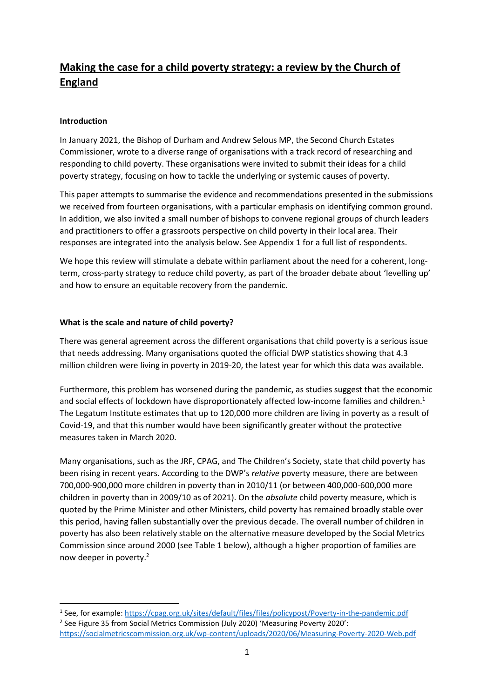# **Making the case for a child poverty strategy: a review by the Church of England**

## **Introduction**

In January 2021, the Bishop of Durham and Andrew Selous MP, the Second Church Estates Commissioner, wrote to a diverse range of organisations with a track record of researching and responding to child poverty. These organisations were invited to submit their ideas for a child poverty strategy, focusing on how to tackle the underlying or systemic causes of poverty.

This paper attempts to summarise the evidence and recommendations presented in the submissions we received from fourteen organisations, with a particular emphasis on identifying common ground. In addition, we also invited a small number of bishops to convene regional groups of church leaders and practitioners to offer a grassroots perspective on child poverty in their local area. Their responses are integrated into the analysis below. See Appendix 1 for a full list of respondents.

We hope this review will stimulate a debate within parliament about the need for a coherent, longterm, cross-party strategy to reduce child poverty, as part of the broader debate about 'levelling up' and how to ensure an equitable recovery from the pandemic.

## **What is the scale and nature of child poverty?**

There was general agreement across the different organisations that child poverty is a serious issue that needs addressing. Many organisations quoted the official DWP statistics showing that 4.3 million children were living in poverty in 2019-20, the latest year for which this data was available.

Furthermore, this problem has worsened during the pandemic, as studies suggest that the economic and social effects of lockdown have disproportionately affected low-income families and children. 1 The Legatum Institute estimates that up to 120,000 more children are living in poverty as a result of Covid-19, and that this number would have been significantly greater without the protective measures taken in March 2020.

Many organisations, such as the JRF, CPAG, and The Children's Society, state that child poverty has been rising in recent years. According to the DWP's *relative* poverty measure, there are between 700,000-900,000 more children in poverty than in 2010/11 (or between 400,000-600,000 more children in poverty than in 2009/10 as of 2021). On the *absolute* child poverty measure, which is quoted by the Prime Minister and other Ministers, child poverty has remained broadly stable over this period, having fallen substantially over the previous decade. The overall number of children in poverty has also been relatively stable on the alternative measure developed by the Social Metrics Commission since around 2000 (see Table 1 below), although a higher proportion of families are now deeper in poverty. 2

<sup>&</sup>lt;sup>1</sup> See, for example[: https://cpag.org.uk/sites/default/files/files/policypost/Poverty-in-the-pandemic.pdf](https://cpag.org.uk/sites/default/files/files/policypost/Poverty-in-the-pandemic.pdf) <sup>2</sup> See Figure 35 from Social Metrics Commission (July 2020) 'Measuring Poverty 2020': <https://socialmetricscommission.org.uk/wp-content/uploads/2020/06/Measuring-Poverty-2020-Web.pdf>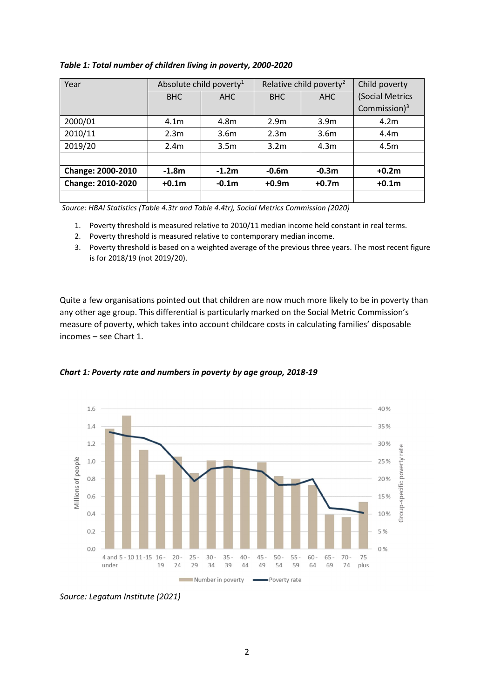| Year                     |                  | Absolute child poverty <sup>1</sup><br>Relative child poverty <sup>2</sup> |                  |                  | Child poverty    |
|--------------------------|------------------|----------------------------------------------------------------------------|------------------|------------------|------------------|
|                          | <b>BHC</b>       | <b>AHC</b>                                                                 | <b>BHC</b>       | AHC              | (Social Metrics  |
|                          |                  |                                                                            |                  |                  | Commission $)^3$ |
| 2000/01                  | 4.1 <sub>m</sub> | 4.8m                                                                       | 2.9 <sub>m</sub> | 3.9 <sub>m</sub> | 4.2m             |
| 2010/11                  | 2.3 <sub>m</sub> | 3.6 <sub>m</sub>                                                           | 2.3 <sub>m</sub> | 3.6 <sub>m</sub> | 4.4m             |
| 2019/20                  | 2.4 <sub>m</sub> | 3.5 <sub>m</sub>                                                           | 3.2 <sub>m</sub> | 4.3 <sub>m</sub> | 4.5m             |
|                          |                  |                                                                            |                  |                  |                  |
| <b>Change: 2000-2010</b> | $-1.8m$          | $-1.2m$                                                                    | $-0.6m$          | $-0.3m$          | $+0.2m$          |
| <b>Change: 2010-2020</b> | $+0.1m$          | $-0.1m$                                                                    | $+0.9m$          | $+0.7m$          | $+0.1m$          |
|                          |                  |                                                                            |                  |                  |                  |

#### *Table 1: Total number of children living in poverty, 2000-2020*

*Source: HBAI Statistics (Table 4.3tr and Table 4.4tr), Social Metrics Commission (2020)*

- 1. Poverty threshold is measured relative to 2010/11 median income held constant in real terms.
- 2. Poverty threshold is measured relative to contemporary median income.

3. Poverty threshold is based on a weighted average of the previous three years. The most recent figure is for 2018/19 (not 2019/20).

Quite a few organisations pointed out that children are now much more likely to be in poverty than any other age group. This differential is particularly marked on the Social Metric Commission's measure of poverty, which takes into account childcare costs in calculating families' disposable incomes – see Chart 1.



*Chart 1: Poverty rate and numbers in poverty by age group, 2018-19*

*Source: Legatum Institute (2021)*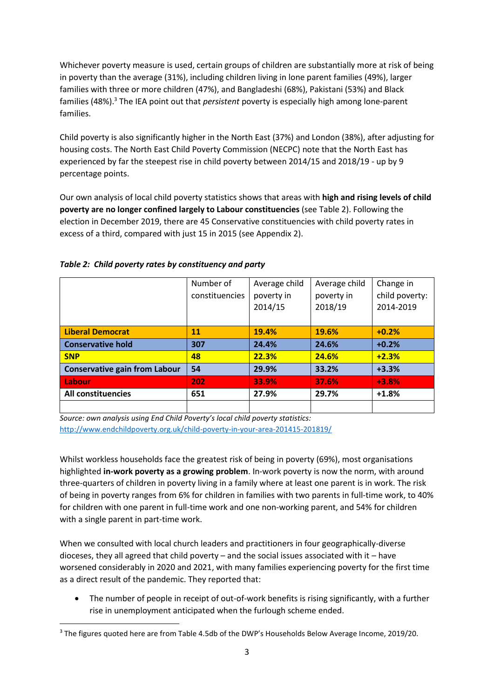Whichever poverty measure is used, certain groups of children are substantially more at risk of being in poverty than the average (31%), including children living in lone parent families (49%), larger families with three or more children (47%), and Bangladeshi (68%), Pakistani (53%) and Black families (48%). <sup>3</sup> The IEA point out that *persistent* poverty is especially high among lone-parent families.

Child poverty is also significantly higher in the North East (37%) and London (38%), after adjusting for housing costs. The North East Child Poverty Commission (NECPC) note that the North East has experienced by far the steepest rise in child poverty between 2014/15 and 2018/19 - up by 9 percentage points.

Our own analysis of local child poverty statistics shows that areas with **high and rising levels of child poverty are no longer confined largely to Labour constituencies** (see Table 2). Following the election in December 2019, there are 45 Conservative constituencies with child poverty rates in excess of a third, compared with just 15 in 2015 (see Appendix 2).

|                                      | Number of      | Average child | Average child | Change in      |
|--------------------------------------|----------------|---------------|---------------|----------------|
|                                      | constituencies | poverty in    | poverty in    | child poverty: |
|                                      |                | 2014/15       | 2018/19       | 2014-2019      |
|                                      |                |               |               |                |
| <b>Liberal Democrat</b>              | 11             | 19.4%         | 19.6%         | $+0.2%$        |
| <b>Conservative hold</b>             | 307            | 24.4%         | 24.6%         | $+0.2%$        |
| <b>SNP</b>                           | 48             | 22.3%         | 24.6%         | $+2.3%$        |
| <b>Conservative gain from Labour</b> | 54             | 29.9%         | 33.2%         | $+3.3%$        |
| Labour                               | 202            | 33.9%         | 37.6%         | $+3.8%$        |
| <b>All constituencies</b>            | 651            | 27.9%         | 29.7%         | $+1.8%$        |
|                                      |                |               |               |                |

# *Table 2: Child poverty rates by constituency and party*

*Source: own analysis using End Child Poverty's local child poverty statistics:* <http://www.endchildpoverty.org.uk/child-poverty-in-your-area-201415-201819/>

Whilst workless households face the greatest risk of being in poverty (69%), most organisations highlighted **in-work poverty as a growing problem**. In-work poverty is now the norm, with around three-quarters of children in poverty living in a family where at least one parent is in work. The risk of being in poverty ranges from 6% for children in families with two parents in full-time work, to 40% for children with one parent in full-time work and one non-working parent, and 54% for children with a single parent in part-time work.

When we consulted with local church leaders and practitioners in four geographically-diverse dioceses, they all agreed that child poverty – and the social issues associated with it – have worsened considerably in 2020 and 2021, with many families experiencing poverty for the first time as a direct result of the pandemic. They reported that:

• The number of people in receipt of out-of-work benefits is rising significantly, with a further rise in unemployment anticipated when the furlough scheme ended.

<sup>&</sup>lt;sup>3</sup> The figures quoted here are from Table 4.5db of the DWP's Households Below Average Income, 2019/20.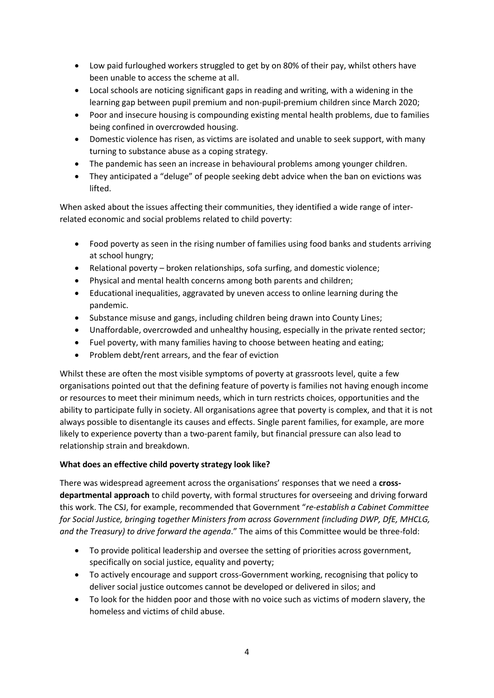- Low paid furloughed workers struggled to get by on 80% of their pay, whilst others have been unable to access the scheme at all.
- Local schools are noticing significant gaps in reading and writing, with a widening in the learning gap between pupil premium and non-pupil-premium children since March 2020;
- Poor and insecure housing is compounding existing mental health problems, due to families being confined in overcrowded housing.
- Domestic violence has risen, as victims are isolated and unable to seek support, with many turning to substance abuse as a coping strategy.
- The pandemic has seen an increase in behavioural problems among younger children.
- They anticipated a "deluge" of people seeking debt advice when the ban on evictions was lifted.

When asked about the issues affecting their communities, they identified a wide range of interrelated economic and social problems related to child poverty:

- Food poverty as seen in the rising number of families using food banks and students arriving at school hungry;
- Relational poverty broken relationships, sofa surfing, and domestic violence;
- Physical and mental health concerns among both parents and children;
- Educational inequalities, aggravated by uneven access to online learning during the pandemic.
- Substance misuse and gangs, including children being drawn into County Lines;
- Unaffordable, overcrowded and unhealthy housing, especially in the private rented sector;
- Fuel poverty, with many families having to choose between heating and eating;
- Problem debt/rent arrears, and the fear of eviction

Whilst these are often the most visible symptoms of poverty at grassroots level, quite a few organisations pointed out that the defining feature of poverty is families not having enough income or resources to meet their minimum needs, which in turn restricts choices, opportunities and the ability to participate fully in society. All organisations agree that poverty is complex, and that it is not always possible to disentangle its causes and effects. Single parent families, for example, are more likely to experience poverty than a two-parent family, but financial pressure can also lead to relationship strain and breakdown.

## **What does an effective child poverty strategy look like?**

There was widespread agreement across the organisations' responses that we need a **crossdepartmental approach** to child poverty, with formal structures for overseeing and driving forward this work. The CSJ, for example, recommended that Government "*re-establish a Cabinet Committee for Social Justice, bringing together Ministers from across Government (including DWP, DfE, MHCLG, and the Treasury) to drive forward the agenda*." The aims of this Committee would be three-fold:

- To provide political leadership and oversee the setting of priorities across government, specifically on social justice, equality and poverty;
- To actively encourage and support cross-Government working, recognising that policy to deliver social justice outcomes cannot be developed or delivered in silos; and
- To look for the hidden poor and those with no voice such as victims of modern slavery, the homeless and victims of child abuse.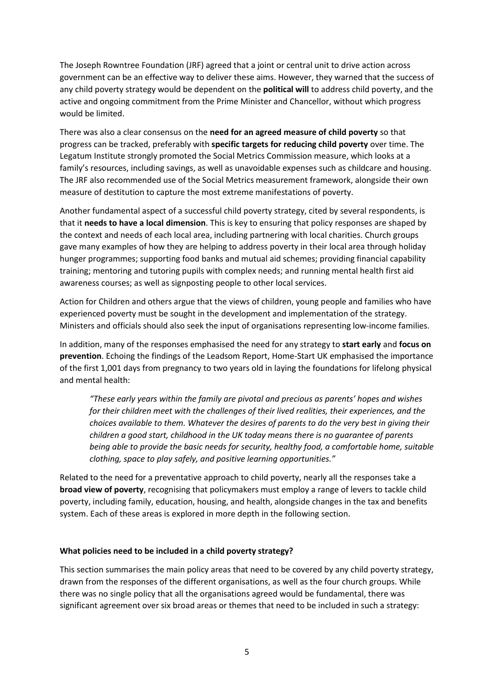The Joseph Rowntree Foundation (JRF) agreed that a joint or central unit to drive action across government can be an effective way to deliver these aims. However, they warned that the success of any child poverty strategy would be dependent on the **political will** to address child poverty, and the active and ongoing commitment from the Prime Minister and Chancellor, without which progress would be limited.

There was also a clear consensus on the **need for an agreed measure of child poverty** so that progress can be tracked, preferably with **specific targets for reducing child poverty** over time. The Legatum Institute strongly promoted the Social Metrics Commission measure, which looks at a family's resources, including savings, as well as unavoidable expenses such as childcare and housing. The JRF also recommended use of the Social Metrics measurement framework, alongside their own measure of destitution to capture the most extreme manifestations of poverty.

Another fundamental aspect of a successful child poverty strategy, cited by several respondents, is that it **needs to have a local dimension**. This is key to ensuring that policy responses are shaped by the context and needs of each local area, including partnering with local charities. Church groups gave many examples of how they are helping to address poverty in their local area through holiday hunger programmes; supporting food banks and mutual aid schemes; providing financial capability training; mentoring and tutoring pupils with complex needs; and running mental health first aid awareness courses; as well as signposting people to other local services.

Action for Children and others argue that the views of children, young people and families who have experienced poverty must be sought in the development and implementation of the strategy. Ministers and officials should also seek the input of organisations representing low-income families.

In addition, many of the responses emphasised the need for any strategy to **start early** and **focus on prevention**. Echoing the findings of the Leadsom Report, Home-Start UK emphasised the importance of the first 1,001 days from pregnancy to two years old in laying the foundations for lifelong physical and mental health:

*"These early years within the family are pivotal and precious as parents' hopes and wishes for their children meet with the challenges of their lived realities, their experiences, and the choices available to them. Whatever the desires of parents to do the very best in giving their children a good start, childhood in the UK today means there is no guarantee of parents being able to provide the basic needs for security, healthy food, a comfortable home, suitable clothing, space to play safely, and positive learning opportunities."*

Related to the need for a preventative approach to child poverty, nearly all the responses take a **broad view of poverty**, recognising that policymakers must employ a range of levers to tackle child poverty, including family, education, housing, and health, alongside changes in the tax and benefits system. Each of these areas is explored in more depth in the following section.

#### **What policies need to be included in a child poverty strategy?**

This section summarises the main policy areas that need to be covered by any child poverty strategy, drawn from the responses of the different organisations, as well as the four church groups. While there was no single policy that all the organisations agreed would be fundamental, there was significant agreement over six broad areas or themes that need to be included in such a strategy: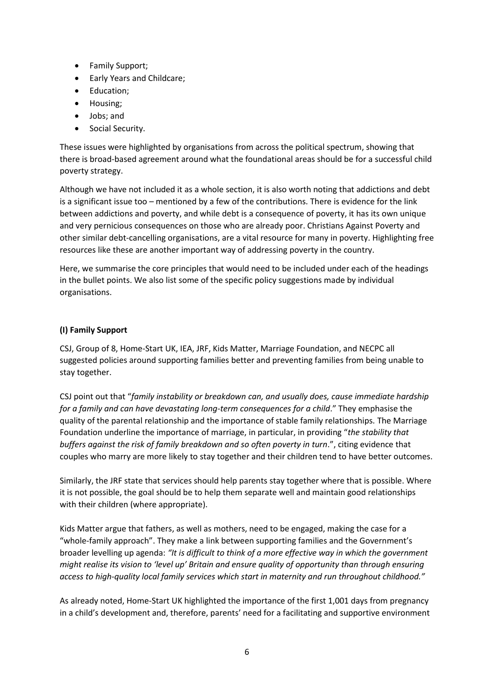- Family Support;
- Early Years and Childcare;
- Education;
- Housing;
- Jobs; and
- Social Security.

These issues were highlighted by organisations from across the political spectrum, showing that there is broad-based agreement around what the foundational areas should be for a successful child poverty strategy.

Although we have not included it as a whole section, it is also worth noting that addictions and debt is a significant issue too – mentioned by a few of the contributions. There is evidence for the link between addictions and poverty, and while debt is a consequence of poverty, it has its own unique and very pernicious consequences on those who are already poor. Christians Against Poverty and other similar debt-cancelling organisations, are a vital resource for many in poverty. Highlighting free resources like these are another important way of addressing poverty in the country.

Here, we summarise the core principles that would need to be included under each of the headings in the bullet points. We also list some of the specific policy suggestions made by individual organisations.

## **(I) Family Support**

CSJ, Group of 8, Home-Start UK, IEA, JRF, Kids Matter, Marriage Foundation, and NECPC all suggested policies around supporting families better and preventing families from being unable to stay together.

CSJ point out that "*family instability or breakdown can, and usually does, cause immediate hardship for a family and can have devastating long-term consequences for a child*." They emphasise the quality of the parental relationship and the importance of stable family relationships. The Marriage Foundation underline the importance of marriage, in particular, in providing "*the stability that*  buffers against the risk of family breakdown and so often poverty in turn.", citing evidence that couples who marry are more likely to stay together and their children tend to have better outcomes.

Similarly, the JRF state that services should help parents stay together where that is possible. Where it is not possible, the goal should be to help them separate well and maintain good relationships with their children (where appropriate).

Kids Matter argue that fathers, as well as mothers, need to be engaged, making the case for a "whole-family approach". They make a link between supporting families and the Government's broader levelling up agenda: *"It is difficult to think of a more effective way in which the government might realise its vision to 'level up' Britain and ensure quality of opportunity than through ensuring access to high-quality local family services which start in maternity and run throughout childhood."*

As already noted, Home-Start UK highlighted the importance of the first 1,001 days from pregnancy in a child's development and, therefore, parents' need for a facilitating and supportive environment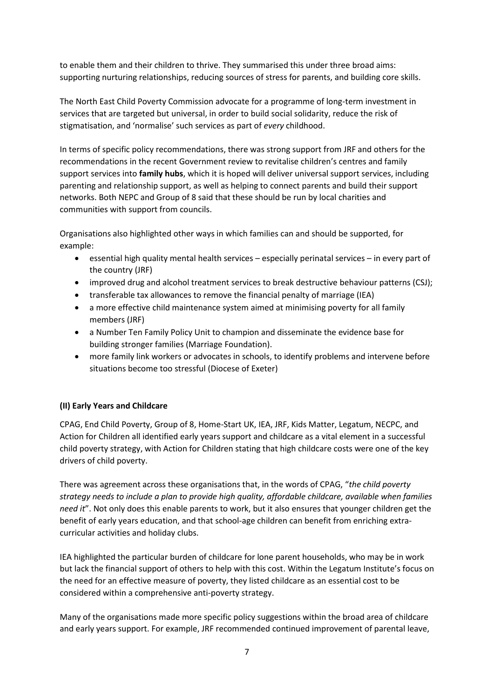to enable them and their children to thrive. They summarised this under three broad aims: supporting nurturing relationships, reducing sources of stress for parents, and building core skills.

The North East Child Poverty Commission advocate for a programme of long-term investment in services that are targeted but universal, in order to build social solidarity, reduce the risk of stigmatisation, and 'normalise' such services as part of *every* childhood.

In terms of specific policy recommendations, there was strong support from JRF and others for the recommendations in the recent Government review to revitalise children's centres and family support services into **family hubs**, which it is hoped will deliver universal support services, including parenting and relationship support, as well as helping to connect parents and build their support networks. Both NEPC and Group of 8 said that these should be run by local charities and communities with support from councils.

Organisations also highlighted other ways in which families can and should be supported, for example:

- essential high quality mental health services especially perinatal services in every part of the country (JRF)
- improved drug and alcohol treatment services to break destructive behaviour patterns (CSJ);
- transferable tax allowances to remove the financial penalty of marriage (IEA)
- a more effective child maintenance system aimed at minimising poverty for all family members (JRF)
- a Number Ten Family Policy Unit to champion and disseminate the evidence base for building stronger families (Marriage Foundation).
- more family link workers or advocates in schools, to identify problems and intervene before situations become too stressful (Diocese of Exeter)

## **(II) Early Years and Childcare**

CPAG, End Child Poverty, Group of 8, Home-Start UK, IEA, JRF, Kids Matter, Legatum, NECPC, and Action for Children all identified early years support and childcare as a vital element in a successful child poverty strategy, with Action for Children stating that high childcare costs were one of the key drivers of child poverty.

There was agreement across these organisations that, in the words of CPAG, "*the child poverty strategy needs to include a plan to provide high quality, affordable childcare, available when families need it*". Not only does this enable parents to work, but it also ensures that younger children get the benefit of early years education, and that school-age children can benefit from enriching extracurricular activities and holiday clubs.

IEA highlighted the particular burden of childcare for lone parent households, who may be in work but lack the financial support of others to help with this cost. Within the Legatum Institute's focus on the need for an effective measure of poverty, they listed childcare as an essential cost to be considered within a comprehensive anti-poverty strategy.

Many of the organisations made more specific policy suggestions within the broad area of childcare and early years support. For example, JRF recommended continued improvement of parental leave,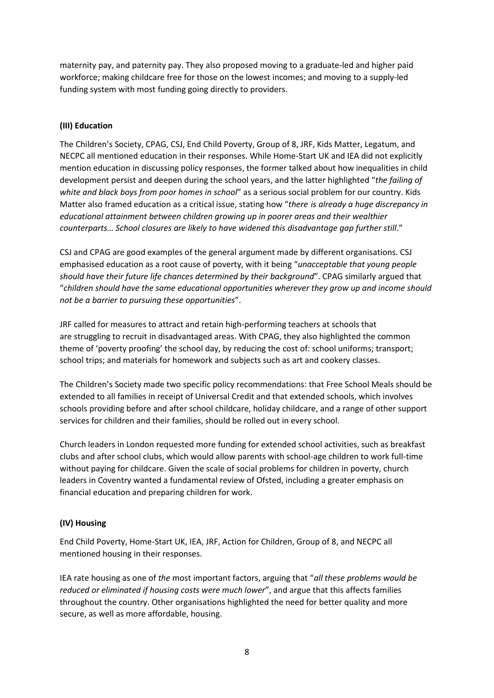maternity pay, and paternity pay. They also proposed moving to a graduate-led and higher paid workforce; making childcare free for those on the lowest incomes; and moving to a supply-led funding system with most funding going directly to providers.

## **(III) Education**

The Children's Society, CPAG, CSJ, End Child Poverty, Group of 8, JRF, Kids Matter, Legatum, and NECPC all mentioned education in their responses. While Home-Start UK and IEA did not explicitly mention education in discussing policy responses, the former talked about how inequalities in child development persist and deepen during the school years, and the latter highlighted "*the failing of white and black boys from poor homes in school*" as a serious social problem for our country. Kids Matter also framed education as a critical issue, stating how "*there is already a huge discrepancy in educational attainment between children growing up in poorer areas and their wealthier counterparts… School closures are likely to have widened this disadvantage gap further still*."

CSJ and CPAG are good examples of the general argument made by different organisations. CSJ emphasised education as a root cause of poverty, with it being "*unacceptable that young people should have their future life chances determined by their background*". CPAG similarly argued that "*children should have the same educational opportunities wherever they grow up and income should not be a barrier to pursuing these opportunities*".

JRF called for measures to attract and retain high-performing teachers at schools that are struggling to recruit in disadvantaged areas. With CPAG, they also highlighted the common theme of 'poverty proofing' the school day, by reducing the cost of: school uniforms; transport; school trips; and materials for homework and subjects such as art and cookery classes.

The Children's Society made two specific policy recommendations: that Free School Meals should be extended to all families in receipt of Universal Credit and that extended schools, which involves schools providing before and after school childcare, holiday childcare, and a range of other support services for children and their families, should be rolled out in every school.

Church leaders in London requested more funding for extended school activities, such as breakfast clubs and after school clubs, which would allow parents with school-age children to work full-time without paying for childcare. Given the scale of social problems for children in poverty, church leaders in Coventry wanted a fundamental review of Ofsted, including a greater emphasis on financial education and preparing children for work.

## **(IV) Housing**

End Child Poverty, Home-Start UK, IEA, JRF, Action for Children, Group of 8, and NECPC all mentioned housing in their responses.

IEA rate housing as one of *the* most important factors, arguing that "*all these problems would be reduced or eliminated if housing costs were much lower*", and argue that this affects families throughout the country. Other organisations highlighted the need for better quality and more secure, as well as more affordable, housing.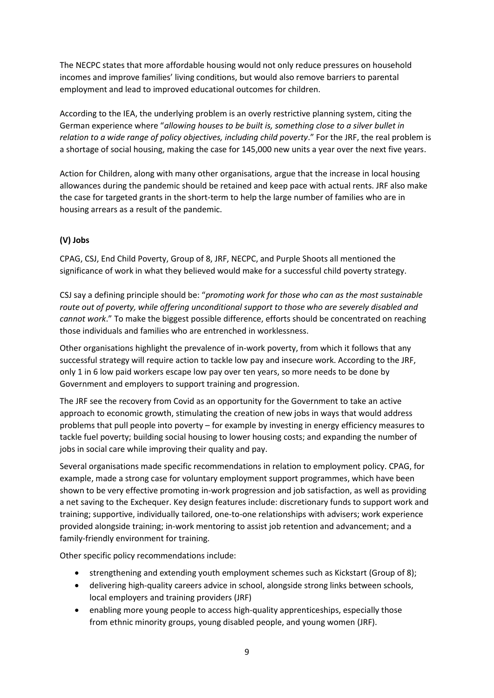The NECPC states that more affordable housing would not only reduce pressures on household incomes and improve families' living conditions, but would also remove barriers to parental employment and lead to improved educational outcomes for children.

According to the IEA, the underlying problem is an overly restrictive planning system, citing the German experience where "*allowing houses to be built is, something close to a silver bullet in relation to a wide range of policy objectives, including child poverty*." For the JRF, the real problem is a shortage of social housing, making the case for 145,000 new units a year over the next five years.

Action for Children, along with many other organisations, argue that the increase in local housing allowances during the pandemic should be retained and keep pace with actual rents. JRF also make the case for targeted grants in the short-term to help the large number of families who are in housing arrears as a result of the pandemic.

# **(V) Jobs**

CPAG, CSJ, End Child Poverty, Group of 8, JRF, NECPC, and Purple Shoots all mentioned the significance of work in what they believed would make for a successful child poverty strategy.

CSJ say a defining principle should be: "*promoting work for those who can as the most sustainable route out of poverty, while offering unconditional support to those who are severely disabled and cannot work*." To make the biggest possible difference, efforts should be concentrated on reaching those individuals and families who are entrenched in worklessness.

Other organisations highlight the prevalence of in-work poverty, from which it follows that any successful strategy will require action to tackle low pay and insecure work. According to the JRF, only 1 in 6 low paid workers escape low pay over ten years, so more needs to be done by Government and employers to support training and progression.

The JRF see the recovery from Covid as an opportunity for the Government to take an active approach to economic growth, stimulating the creation of new jobs in ways that would address problems that pull people into poverty – for example by investing in energy efficiency measures to tackle fuel poverty; building social housing to lower housing costs; and expanding the number of jobs in social care while improving their quality and pay.

Several organisations made specific recommendations in relation to employment policy. CPAG, for example, made a strong case for voluntary employment support programmes, which have been shown to be very effective promoting in-work progression and job satisfaction, as well as providing a net saving to the Exchequer. Key design features include: discretionary funds to support work and training; supportive, individually tailored, one-to-one relationships with advisers; work experience provided alongside training; in-work mentoring to assist job retention and advancement; and a family-friendly environment for training.

Other specific policy recommendations include:

- strengthening and extending youth employment schemes such as Kickstart (Group of 8);
- delivering high-quality careers advice in school, alongside strong links between schools, local employers and training providers (JRF)
- enabling more young people to access high-quality apprenticeships, especially those from ethnic minority groups, young disabled people, and young women (JRF).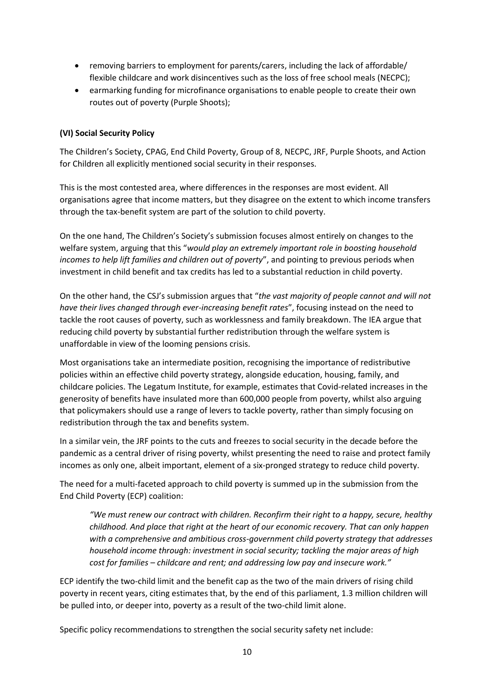- removing barriers to employment for parents/carers, including the lack of affordable/ flexible childcare and work disincentives such as the loss of free school meals (NECPC);
- earmarking funding for microfinance organisations to enable people to create their own routes out of poverty (Purple Shoots);

## **(VI) Social Security Policy**

The Children's Society, CPAG, End Child Poverty, Group of 8, NECPC, JRF, Purple Shoots, and Action for Children all explicitly mentioned social security in their responses.

This is the most contested area, where differences in the responses are most evident. All organisations agree that income matters, but they disagree on the extent to which income transfers through the tax-benefit system are part of the solution to child poverty.

On the one hand, The Children's Society's submission focuses almost entirely on changes to the welfare system, arguing that this "*would play an extremely important role in boosting household incomes to help lift families and children out of poverty*", and pointing to previous periods when investment in child benefit and tax credits has led to a substantial reduction in child poverty.

On the other hand, the CSJ's submission argues that "*the vast majority of people cannot and will not have their lives changed through ever-increasing benefit rates*", focusing instead on the need to tackle the root causes of poverty, such as worklessness and family breakdown. The IEA argue that reducing child poverty by substantial further redistribution through the welfare system is unaffordable in view of the looming pensions crisis.

Most organisations take an intermediate position, recognising the importance of redistributive policies within an effective child poverty strategy, alongside education, housing, family, and childcare policies. The Legatum Institute, for example, estimates that Covid-related increases in the generosity of benefits have insulated more than 600,000 people from poverty, whilst also arguing that policymakers should use a range of levers to tackle poverty, rather than simply focusing on redistribution through the tax and benefits system.

In a similar vein, the JRF points to the cuts and freezes to social security in the decade before the pandemic as a central driver of rising poverty, whilst presenting the need to raise and protect family incomes as only one, albeit important, element of a six-pronged strategy to reduce child poverty.

The need for a multi-faceted approach to child poverty is summed up in the submission from the End Child Poverty (ECP) coalition:

*"We must renew our contract with children. Reconfirm their right to a happy, secure, healthy childhood. And place that right at the heart of our economic recovery. That can only happen with a comprehensive and ambitious cross-government child poverty strategy that addresses household income through: investment in social security; tackling the major areas of high cost for families – childcare and rent; and addressing low pay and insecure work."*

ECP identify the two-child limit and the benefit cap as the two of the main drivers of rising child poverty in recent years, citing estimates that, by the end of this parliament, 1.3 million children will be pulled into, or deeper into, poverty as a result of the two-child limit alone.

Specific policy recommendations to strengthen the social security safety net include: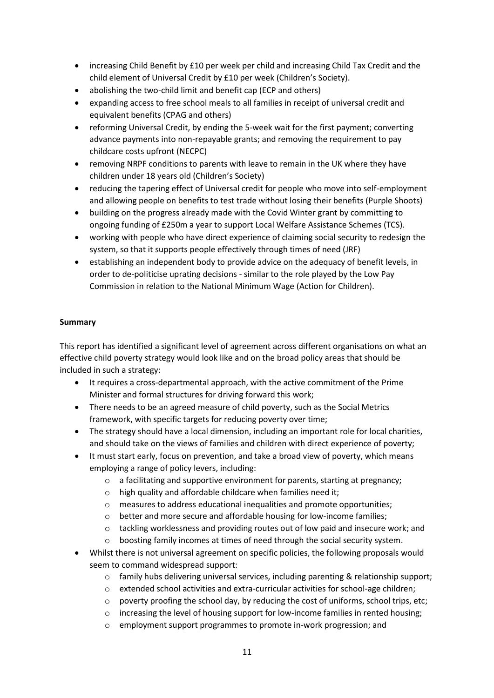- increasing Child Benefit by £10 per week per child and increasing Child Tax Credit and the child element of Universal Credit by £10 per week (Children's Society).
- abolishing the two-child limit and benefit cap (ECP and others)
- expanding access to free school meals to all families in receipt of universal credit and equivalent benefits (CPAG and others)
- reforming Universal Credit, by ending the 5-week wait for the first payment; converting advance payments into non-repayable grants; and removing the requirement to pay childcare costs upfront (NECPC)
- removing NRPF conditions to parents with leave to remain in the UK where they have children under 18 years old (Children's Society)
- reducing the tapering effect of Universal credit for people who move into self-employment and allowing people on benefits to test trade without losing their benefits (Purple Shoots)
- building on the progress already made with the Covid Winter grant by committing to ongoing funding of £250m a year to support Local Welfare Assistance Schemes (TCS).
- working with people who have direct experience of claiming social security to redesign the system, so that it supports people effectively through times of need (JRF)
- establishing an independent body to provide advice on the adequacy of benefit levels, in order to de-politicise uprating decisions - similar to the role played by the Low Pay Commission in relation to the National Minimum Wage (Action for Children).

## **Summary**

This report has identified a significant level of agreement across different organisations on what an effective child poverty strategy would look like and on the broad policy areas that should be included in such a strategy:

- It requires a cross-departmental approach, with the active commitment of the Prime Minister and formal structures for driving forward this work;
- There needs to be an agreed measure of child poverty, such as the Social Metrics framework, with specific targets for reducing poverty over time;
- The strategy should have a local dimension, including an important role for local charities, and should take on the views of families and children with direct experience of poverty;
- It must start early, focus on prevention, and take a broad view of poverty, which means employing a range of policy levers, including:
	- o a facilitating and supportive environment for parents, starting at pregnancy;
	- o high quality and affordable childcare when families need it;
	- o measures to address educational inequalities and promote opportunities;
	- o better and more secure and affordable housing for low-income families;
	- o tackling worklessness and providing routes out of low paid and insecure work; and
	- o boosting family incomes at times of need through the social security system.
- Whilst there is not universal agreement on specific policies, the following proposals would seem to command widespread support:
	- $\circ$  family hubs delivering universal services, including parenting & relationship support;
	- o extended school activities and extra-curricular activities for school-age children;
	- o poverty proofing the school day, by reducing the cost of uniforms, school trips, etc;
	- $\circ$  increasing the level of housing support for low-income families in rented housing;
	- o employment support programmes to promote in-work progression; and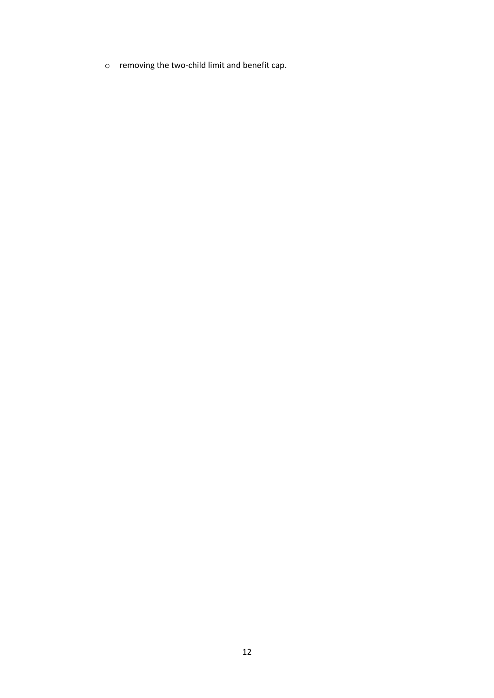o removing the two-child limit and benefit cap.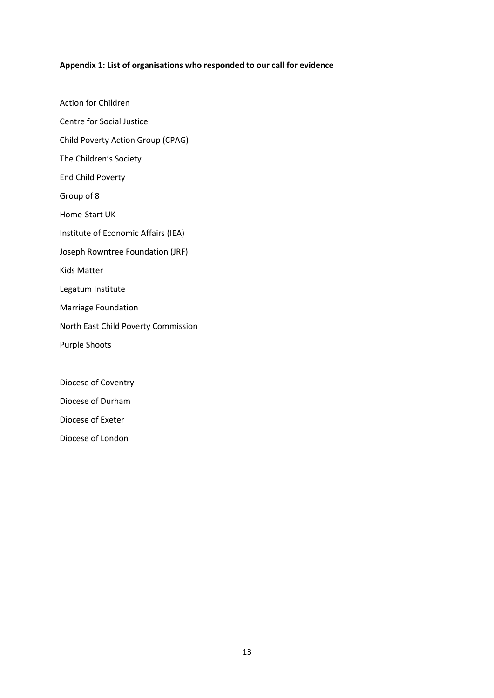#### **Appendix 1: List of organisations who responded to our call for evidence**

Action for Children Centre for Social Justice Child Poverty Action Group (CPAG) The Children's Society End Child Poverty Group of 8 Home-Start UK Institute of Economic Affairs (IEA) Joseph Rowntree Foundation (JRF) Kids Matter Legatum Institute Marriage Foundation North East Child Poverty Commission Purple Shoots

Diocese of Coventry

Diocese of Durham

Diocese of Exeter

Diocese of London